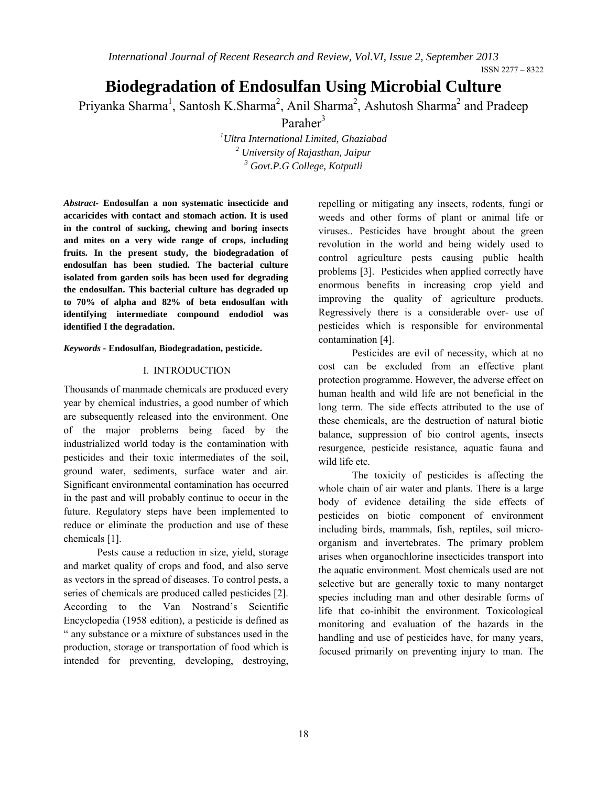ISSN 2277 – 8322

# **Biodegradation of Endosulfan Using Microbial Culture**

Priyanka Sharma<sup>1</sup>, Santosh K.Sharma<sup>2</sup>, Anil Sharma<sup>2</sup>, Ashutosh Sharma<sup>2</sup> and Pradeep

Paraher<sup>3</sup>

*1 Ultra International Limited, Ghaziabad <sup>2</sup> University of Rajasthan, Jaipur <sup>3</sup> Govt.P.G College, Kotputli*

*Abstract-* **Endosulfan a non systematic insecticide and accaricides with contact and stomach action. It is used in the control of sucking, chewing and boring insects and mites on a very wide range of crops, including fruits. In the present study, the biodegradation of endosulfan has been studied. The bacterial culture isolated from garden soils has been used for degrading the endosulfan. This bacterial culture has degraded up to 70% of alpha and 82% of beta endosulfan with identifying intermediate compound endodiol was identified I the degradation.**

*Keywords -* **Endosulfan, Biodegradation, pesticide.**

#### I. INTRODUCTION

Thousands of manmade chemicals are produced every year by chemical industries, a good number of which are subsequently released into the environment. One of the major problems being faced by the industrialized world today is the contamination with pesticides and their toxic intermediates of the soil, ground water, sediments, surface water and air. Significant environmental contamination has occurred in the past and will probably continue to occur in the future. Regulatory steps have been implemented to reduce or eliminate the production and use of these chemicals [1].

Pests cause a reduction in size, yield, storage and market quality of crops and food, and also serve as vectors in the spread of diseases. To control pests, a series of chemicals are produced called pesticides [2]. According to the Van Nostrand's Scientific Encyclopedia (1958 edition), a pesticide is defined as " any substance or a mixture of substances used in the production, storage or transportation of food which is intended for preventing, developing, destroying,

repelling or mitigating any insects, rodents, fungi or weeds and other forms of plant or animal life or viruses.. Pesticides have brought about the green revolution in the world and being widely used to control agriculture pests causing public health problems [3]. Pesticides when applied correctly have enormous benefits in increasing crop yield and improving the quality of agriculture products. Regressively there is a considerable over- use of pesticides which is responsible for environmental contamination [4].

Pesticides are evil of necessity, which at no cost can be excluded from an effective plant protection programme. However, the adverse effect on human health and wild life are not beneficial in the long term. The side effects attributed to the use of these chemicals, are the destruction of natural biotic balance, suppression of bio control agents, insects resurgence, pesticide resistance, aquatic fauna and wild life etc.

The toxicity of pesticides is affecting the whole chain of air water and plants. There is a large body of evidence detailing the side effects of pesticides on biotic component of environment including birds, mammals, fish, reptiles, soil microorganism and invertebrates. The primary problem arises when organochlorine insecticides transport into the aquatic environment. Most chemicals used are not selective but are generally toxic to many nontarget species including man and other desirable forms of life that co-inhibit the environment. Toxicological monitoring and evaluation of the hazards in the handling and use of pesticides have, for many years, focused primarily on preventing injury to man. The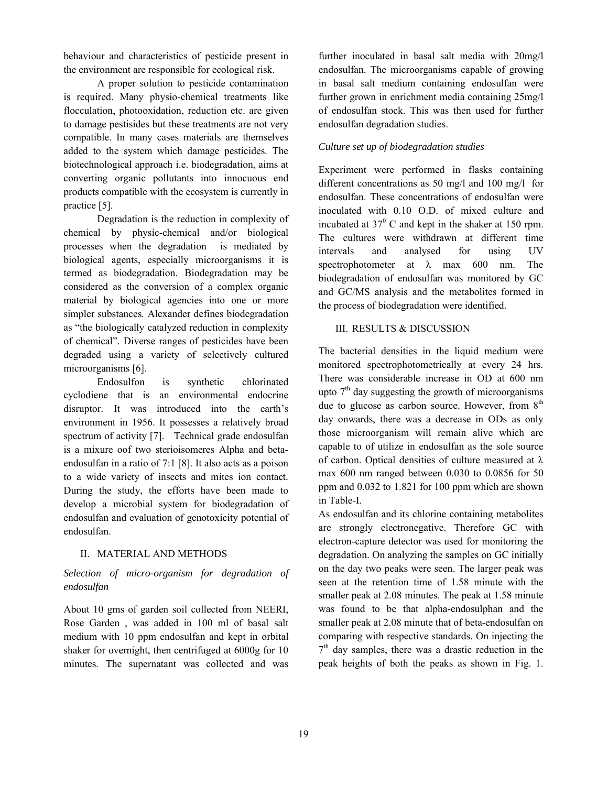behaviour and characteristics of pesticide present in the environment are responsible for ecological risk.

A proper solution to pesticide contamination is required. Many physio-chemical treatments like flocculation, photooxidation, reduction etc. are given to damage pestisides but these treatments are not very compatible. In many cases materials are themselves added to the system which damage pesticides. The biotechnological approach i.e. biodegradation, aims at converting organic pollutants into innocuous end products compatible with the ecosystem is currently in practice [5].

Degradation is the reduction in complexity of chemical by physic-chemical and/or biological processes when the degradation is mediated by biological agents, especially microorganisms it is termed as biodegradation. Biodegradation may be considered as the conversion of a complex organic material by biological agencies into one or more simpler substances. Alexander defines biodegradation as "the biologically catalyzed reduction in complexity of chemical". Diverse ranges of pesticides have been degraded using a variety of selectively cultured microorganisms [6].

Endosulfon is synthetic chlorinated cyclodiene that is an environmental endocrine disruptor. It was introduced into the earth's environment in 1956. It possesses a relatively broad spectrum of activity [7]. Technical grade endosulfan is a mixure oof two sterioisomeres Alpha and betaendosulfan in a ratio of 7:1 [8]. It also acts as a poison to a wide variety of insects and mites ion contact. During the study, the efforts have been made to develop a microbial system for biodegradation of endosulfan and evaluation of genotoxicity potential of endosulfan.

#### II. MATERIAL AND METHODS

#### *Selection of micro-organism for degradation of endosulfan*

About 10 gms of garden soil collected from NEERI, Rose Garden , was added in 100 ml of basal salt medium with 10 ppm endosulfan and kept in orbital shaker for overnight, then centrifuged at 6000g for 10 minutes. The supernatant was collected and was further inoculated in basal salt media with 20mg/l endosulfan. The microorganisms capable of growing in basal salt medium containing endosulfan were further grown in enrichment media containing 25mg/l of endosulfan stock. This was then used for further endosulfan degradation studies.

#### *Culture set up of biodegradation studies*

Experiment were performed in flasks containing different concentrations as 50 mg/l and 100 mg/l for endosulfan. These concentrations of endosulfan were inoculated with 0.10 O.D. of mixed culture and incubated at  $37^{\circ}$  C and kept in the shaker at 150 rpm. The cultures were withdrawn at different time intervals and analysed for using UV spectrophotometer at  $\lambda$  max 600 nm. The biodegradation of endosulfan was monitored by GC and GC/MS analysis and the metabolites formed in the process of biodegradation were identified.

#### III. RESULTS & DISCUSSION

The bacterial densities in the liquid medium were monitored spectrophotometrically at every 24 hrs. There was considerable increase in OD at 600 nm upto  $7<sup>th</sup>$  day suggesting the growth of microorganisms due to glucose as carbon source. However, from  $8<sup>th</sup>$ day onwards, there was a decrease in ODs as only those microorganism will remain alive which are capable to of utilize in endosulfan as the sole source of carbon. Optical densities of culture measured at  $\lambda$ max 600 nm ranged between 0.030 to 0.0856 for 50 ppm and 0.032 to 1.821 for 100 ppm which are shown in Table-I.

As endosulfan and its chlorine containing metabolites are strongly electronegative. Therefore GC with electron-capture detector was used for monitoring the degradation. On analyzing the samples on GC initially on the day two peaks were seen. The larger peak was seen at the retention time of 1.58 minute with the smaller peak at 2.08 minutes. The peak at 1.58 minute was found to be that alpha-endosulphan and the smaller peak at 2.08 minute that of beta-endosulfan on comparing with respective standards. On injecting the  $7<sup>th</sup>$  day samples, there was a drastic reduction in the peak heights of both the peaks as shown in Fig. 1.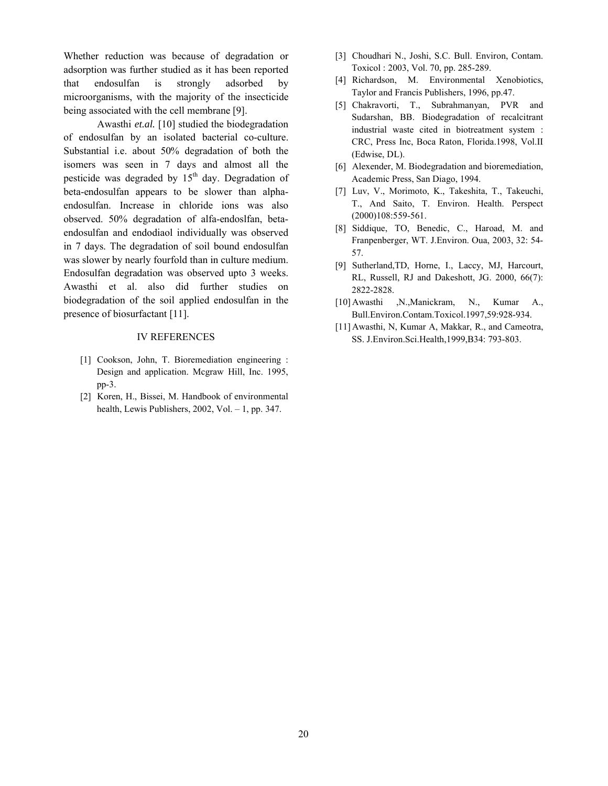Whether reduction was because of degradation or adsorption was further studied as it has been reported that endosulfan is strongly adsorbed by microorganisms, with the majority of the insecticide being associated with the cell membrane [9].

Awasthi *et.al.* [10] studied the biodegradation of endosulfan by an isolated bacterial co-culture. Substantial i.e. about 50% degradation of both the isomers was seen in 7 days and almost all the pesticide was degraded by  $15<sup>th</sup>$  day. Degradation of beta-endosulfan appears to be slower than alphaendosulfan. Increase in chloride ions was also observed. 50% degradation of alfa-endoslfan, betaendosulfan and endodiaol individually was observed in 7 days. The degradation of soil bound endosulfan was slower by nearly fourfold than in culture medium. Endosulfan degradation was observed upto 3 weeks. Awasthi et al. also did further studies on biodegradation of the soil applied endosulfan in the presence of biosurfactant [11].

#### IV REFERENCES

- [1] Cookson, John, T. Bioremediation engineering : Design and application. Mcgraw Hill, Inc. 1995, pp-3.
- [2] Koren, H., Bissei, M. Handbook of environmental health, Lewis Publishers, 2002, Vol. - 1, pp. 347.
- [3] Choudhari N., Joshi, S.C. Bull. Environ, Contam. Toxicol : 2003, Vol. 70, pp. 285-289.
- [4] Richardson, M. Environmental Xenobiotics, Taylor and Francis Publishers, 1996, pp.47.
- [5] Chakravorti, T., Subrahmanyan, PVR and Sudarshan, BB. Biodegradation of recalcitrant industrial waste cited in biotreatment system : CRC, Press Inc, Boca Raton, Florida.1998, Vol.II (Edwise, DL).
- [6] Alexender, M. Biodegradation and bioremediation, Academic Press, San Diago, 1994.
- [7] Luv, V., Morimoto, K., Takeshita, T., Takeuchi, T., And Saito, T. Environ. Health. Perspect (2000)108:559-561.
- [8] Siddique, TO, Benedic, C., Haroad, M. and Franpenberger, WT. J.Environ. Oua, 2003, 32: 54- 57.
- [9] Sutherland,TD, Horne, I., Laccy, MJ, Harcourt, RL, Russell, RJ and Dakeshott, JG. 2000, 66(7): 2822-2828.
- [10] Awasthi ,N.,Manickram, N., Kumar A., Bull.Environ.Contam.Toxicol.1997,59:928-934.
- [11] Awasthi, N, Kumar A, Makkar, R., and Cameotra, SS. J.Environ.Sci.Health,1999,B34: 793-803.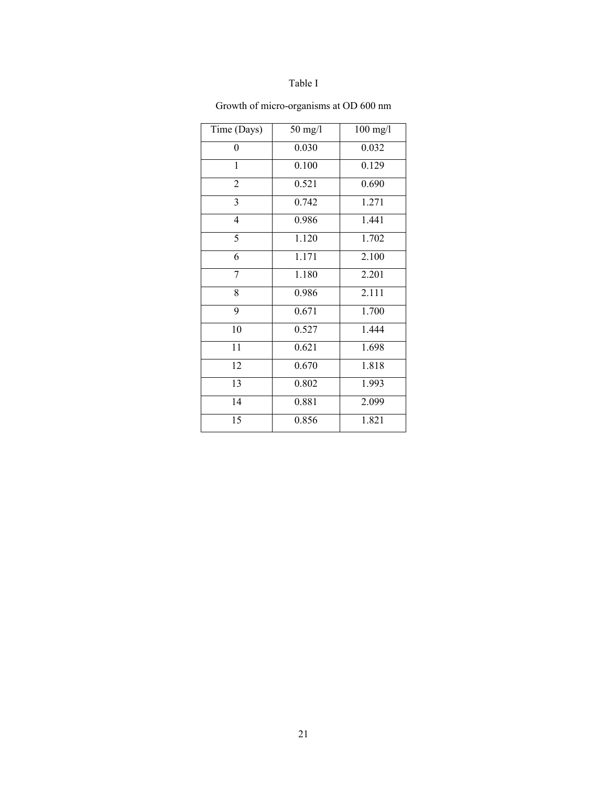### Table I

| Time (Days)             | $50 \text{ mg/l}$ | $100$ mg/l |
|-------------------------|-------------------|------------|
| 0                       | 0.030             | 0.032      |
| $\mathbf{1}$            | 0.100             | 0.129      |
| $\overline{2}$          | 0.521             | 0.690      |
| 3                       | 0.742             | 1.271      |
| $\overline{\mathbf{4}}$ | 0.986             | 1.441      |
| 5                       | 1.120             | 1.702      |
| 6                       | 1.171             | 2.100      |
| $\overline{7}$          | 1.180             | 2.201      |
| 8                       | 0.986             | 2.111      |
| 9                       | 0.671             | 1.700      |
| 10                      | 0.527             | 1.444      |
| 11                      | 0.621             | 1.698      |
| 12                      | 0.670             | 1.818      |
| 13                      | 0.802             | 1.993      |
| 14                      | 0.881             | 2.099      |
| 15                      | 0.856             | 1.821      |

## Growth of micro-organisms at OD 600 nm